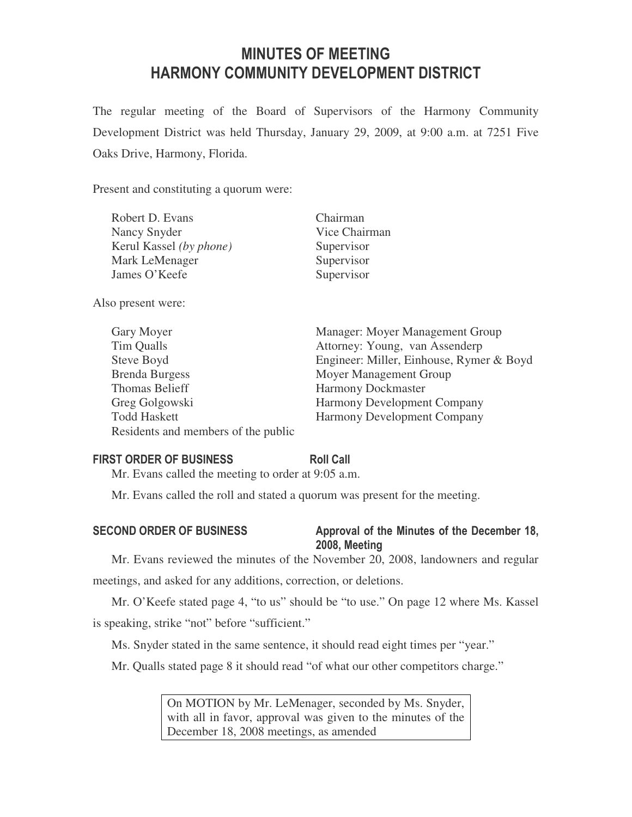# MINUTES OF MEETING HARMONY COMMUNITY DEVELOPMENT DISTRICT

The regular meeting of the Board of Supervisors of the Harmony Community Development District was held Thursday, January 29, 2009, at 9:00 a.m. at 7251 Five Oaks Drive, Harmony, Florida.

Present and constituting a quorum were:

| Robert D. Evans         | Chairman      |
|-------------------------|---------------|
| Nancy Snyder            | Vice Chairman |
| Kerul Kassel (by phone) | Supervisor    |
| Mark LeMenager          | Supervisor    |
| James O'Keefe           | Supervisor    |
|                         |               |

Also present were:

| Gary Moyer                          | Manager: Moyer Management Group          |
|-------------------------------------|------------------------------------------|
| Tim Qualls                          | Attorney: Young, van Assenderp           |
| Steve Boyd                          | Engineer: Miller, Einhouse, Rymer & Boyd |
| <b>Brenda Burgess</b>               | Moyer Management Group                   |
| Thomas Belieff                      | <b>Harmony Dockmaster</b>                |
| Greg Golgowski                      | Harmony Development Company              |
| <b>Todd Haskett</b>                 | <b>Harmony Development Company</b>       |
| Residents and members of the public |                                          |

# FIRST ORDER OF BUSINESS Roll Call

Mr. Evans called the meeting to order at 9:05 a.m.

Mr. Evans called the roll and stated a quorum was present for the meeting.

# SECOND ORDER OF BUSINESS Approval of the Minutes of the December 18, 2008, Meeting

Mr. Evans reviewed the minutes of the November 20, 2008, landowners and regular

meetings, and asked for any additions, correction, or deletions.

Mr. O'Keefe stated page 4, "to us" should be "to use." On page 12 where Ms. Kassel is speaking, strike "not" before "sufficient."

Ms. Snyder stated in the same sentence, it should read eight times per "year."

Mr. Qualls stated page 8 it should read "of what our other competitors charge."

On MOTION by Mr. LeMenager, seconded by Ms. Snyder, with all in favor, approval was given to the minutes of the December 18, 2008 meetings, as amended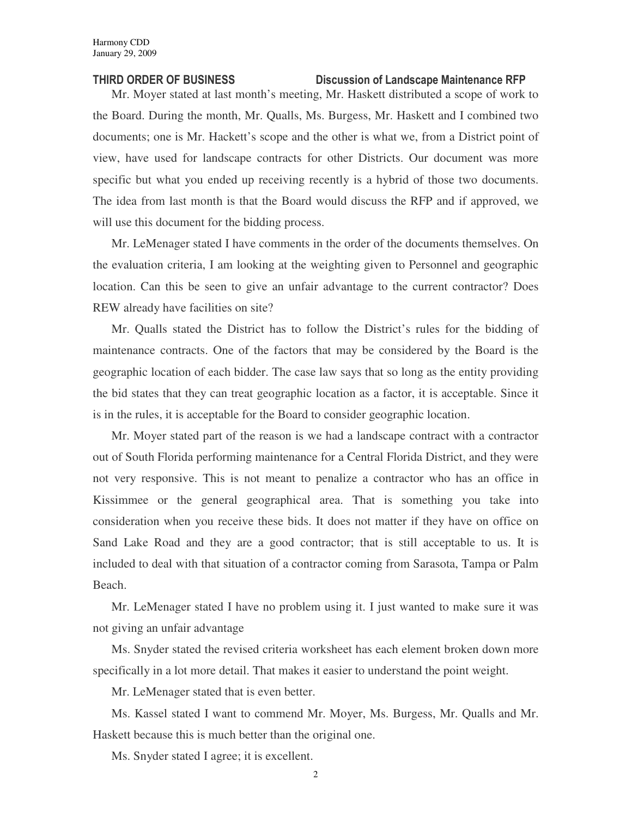### THIRD ORDER OF BUSINESS Discussion of Landscape Maintenance RFP

Mr. Moyer stated at last month's meeting, Mr. Haskett distributed a scope of work to the Board. During the month, Mr. Qualls, Ms. Burgess, Mr. Haskett and I combined two documents; one is Mr. Hackett's scope and the other is what we, from a District point of view, have used for landscape contracts for other Districts. Our document was more specific but what you ended up receiving recently is a hybrid of those two documents. The idea from last month is that the Board would discuss the RFP and if approved, we will use this document for the bidding process.

Mr. LeMenager stated I have comments in the order of the documents themselves. On the evaluation criteria, I am looking at the weighting given to Personnel and geographic location. Can this be seen to give an unfair advantage to the current contractor? Does REW already have facilities on site?

Mr. Qualls stated the District has to follow the District's rules for the bidding of maintenance contracts. One of the factors that may be considered by the Board is the geographic location of each bidder. The case law says that so long as the entity providing the bid states that they can treat geographic location as a factor, it is acceptable. Since it is in the rules, it is acceptable for the Board to consider geographic location.

Mr. Moyer stated part of the reason is we had a landscape contract with a contractor out of South Florida performing maintenance for a Central Florida District, and they were not very responsive. This is not meant to penalize a contractor who has an office in Kissimmee or the general geographical area. That is something you take into consideration when you receive these bids. It does not matter if they have on office on Sand Lake Road and they are a good contractor; that is still acceptable to us. It is included to deal with that situation of a contractor coming from Sarasota, Tampa or Palm Beach.

Mr. LeMenager stated I have no problem using it. I just wanted to make sure it was not giving an unfair advantage

Ms. Snyder stated the revised criteria worksheet has each element broken down more specifically in a lot more detail. That makes it easier to understand the point weight.

Mr. LeMenager stated that is even better.

Ms. Kassel stated I want to commend Mr. Moyer, Ms. Burgess, Mr. Qualls and Mr. Haskett because this is much better than the original one.

Ms. Snyder stated I agree; it is excellent.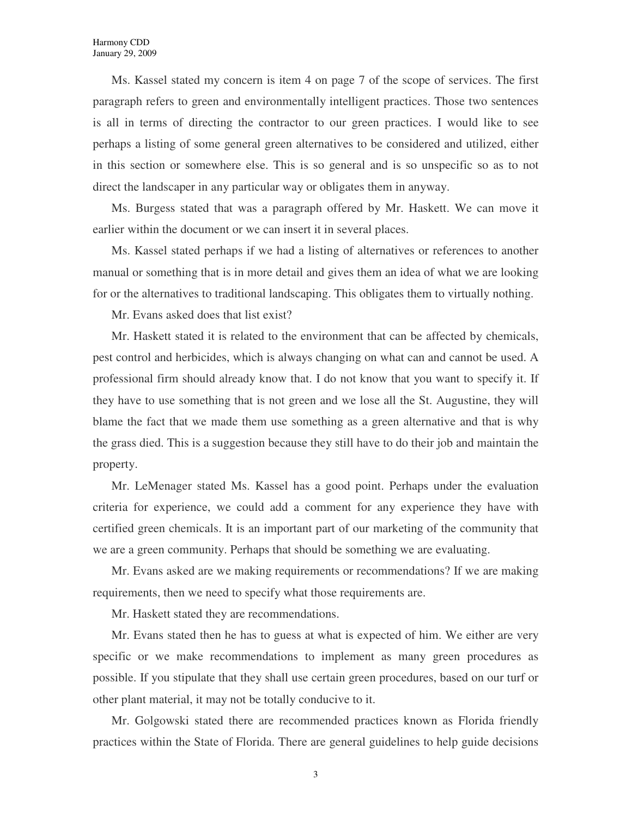Ms. Kassel stated my concern is item 4 on page 7 of the scope of services. The first paragraph refers to green and environmentally intelligent practices. Those two sentences is all in terms of directing the contractor to our green practices. I would like to see perhaps a listing of some general green alternatives to be considered and utilized, either in this section or somewhere else. This is so general and is so unspecific so as to not direct the landscaper in any particular way or obligates them in anyway.

Ms. Burgess stated that was a paragraph offered by Mr. Haskett. We can move it earlier within the document or we can insert it in several places.

Ms. Kassel stated perhaps if we had a listing of alternatives or references to another manual or something that is in more detail and gives them an idea of what we are looking for or the alternatives to traditional landscaping. This obligates them to virtually nothing.

Mr. Evans asked does that list exist?

Mr. Haskett stated it is related to the environment that can be affected by chemicals, pest control and herbicides, which is always changing on what can and cannot be used. A professional firm should already know that. I do not know that you want to specify it. If they have to use something that is not green and we lose all the St. Augustine, they will blame the fact that we made them use something as a green alternative and that is why the grass died. This is a suggestion because they still have to do their job and maintain the property.

Mr. LeMenager stated Ms. Kassel has a good point. Perhaps under the evaluation criteria for experience, we could add a comment for any experience they have with certified green chemicals. It is an important part of our marketing of the community that we are a green community. Perhaps that should be something we are evaluating.

Mr. Evans asked are we making requirements or recommendations? If we are making requirements, then we need to specify what those requirements are.

Mr. Haskett stated they are recommendations.

Mr. Evans stated then he has to guess at what is expected of him. We either are very specific or we make recommendations to implement as many green procedures as possible. If you stipulate that they shall use certain green procedures, based on our turf or other plant material, it may not be totally conducive to it.

Mr. Golgowski stated there are recommended practices known as Florida friendly practices within the State of Florida. There are general guidelines to help guide decisions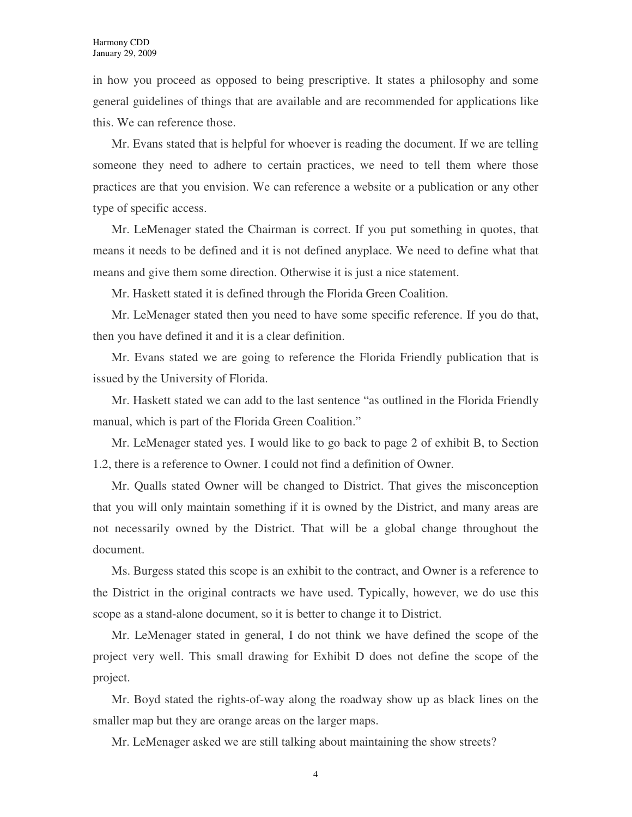in how you proceed as opposed to being prescriptive. It states a philosophy and some general guidelines of things that are available and are recommended for applications like this. We can reference those.

Mr. Evans stated that is helpful for whoever is reading the document. If we are telling someone they need to adhere to certain practices, we need to tell them where those practices are that you envision. We can reference a website or a publication or any other type of specific access.

Mr. LeMenager stated the Chairman is correct. If you put something in quotes, that means it needs to be defined and it is not defined anyplace. We need to define what that means and give them some direction. Otherwise it is just a nice statement.

Mr. Haskett stated it is defined through the Florida Green Coalition.

Mr. LeMenager stated then you need to have some specific reference. If you do that, then you have defined it and it is a clear definition.

Mr. Evans stated we are going to reference the Florida Friendly publication that is issued by the University of Florida.

Mr. Haskett stated we can add to the last sentence "as outlined in the Florida Friendly manual, which is part of the Florida Green Coalition."

Mr. LeMenager stated yes. I would like to go back to page 2 of exhibit B, to Section 1.2, there is a reference to Owner. I could not find a definition of Owner.

Mr. Qualls stated Owner will be changed to District. That gives the misconception that you will only maintain something if it is owned by the District, and many areas are not necessarily owned by the District. That will be a global change throughout the document.

Ms. Burgess stated this scope is an exhibit to the contract, and Owner is a reference to the District in the original contracts we have used. Typically, however, we do use this scope as a stand-alone document, so it is better to change it to District.

Mr. LeMenager stated in general, I do not think we have defined the scope of the project very well. This small drawing for Exhibit D does not define the scope of the project.

Mr. Boyd stated the rights-of-way along the roadway show up as black lines on the smaller map but they are orange areas on the larger maps.

Mr. LeMenager asked we are still talking about maintaining the show streets?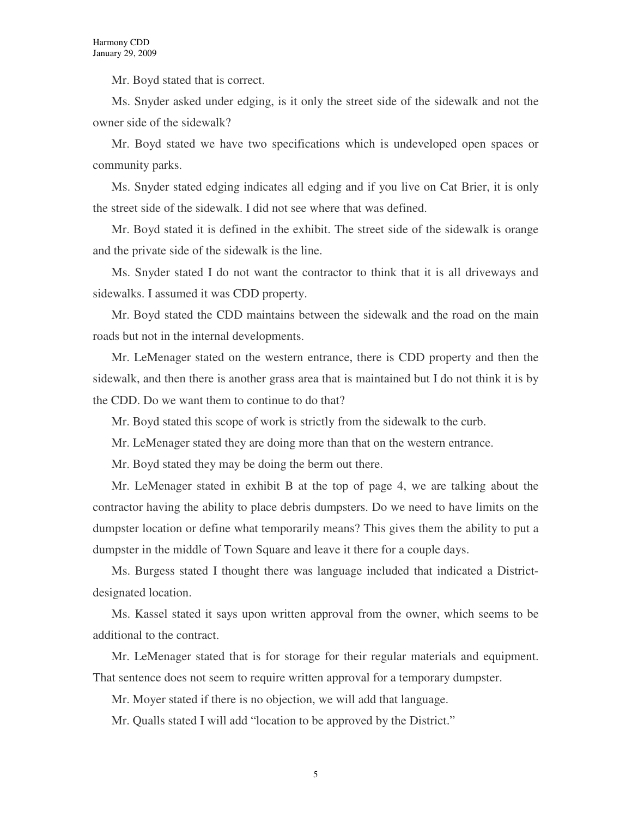Mr. Boyd stated that is correct.

Ms. Snyder asked under edging, is it only the street side of the sidewalk and not the owner side of the sidewalk?

Mr. Boyd stated we have two specifications which is undeveloped open spaces or community parks.

Ms. Snyder stated edging indicates all edging and if you live on Cat Brier, it is only the street side of the sidewalk. I did not see where that was defined.

Mr. Boyd stated it is defined in the exhibit. The street side of the sidewalk is orange and the private side of the sidewalk is the line.

Ms. Snyder stated I do not want the contractor to think that it is all driveways and sidewalks. I assumed it was CDD property.

Mr. Boyd stated the CDD maintains between the sidewalk and the road on the main roads but not in the internal developments.

Mr. LeMenager stated on the western entrance, there is CDD property and then the sidewalk, and then there is another grass area that is maintained but I do not think it is by the CDD. Do we want them to continue to do that?

Mr. Boyd stated this scope of work is strictly from the sidewalk to the curb.

Mr. LeMenager stated they are doing more than that on the western entrance.

Mr. Boyd stated they may be doing the berm out there.

Mr. LeMenager stated in exhibit B at the top of page 4, we are talking about the contractor having the ability to place debris dumpsters. Do we need to have limits on the dumpster location or define what temporarily means? This gives them the ability to put a dumpster in the middle of Town Square and leave it there for a couple days.

Ms. Burgess stated I thought there was language included that indicated a Districtdesignated location.

Ms. Kassel stated it says upon written approval from the owner, which seems to be additional to the contract.

Mr. LeMenager stated that is for storage for their regular materials and equipment. That sentence does not seem to require written approval for a temporary dumpster.

Mr. Moyer stated if there is no objection, we will add that language.

Mr. Qualls stated I will add "location to be approved by the District."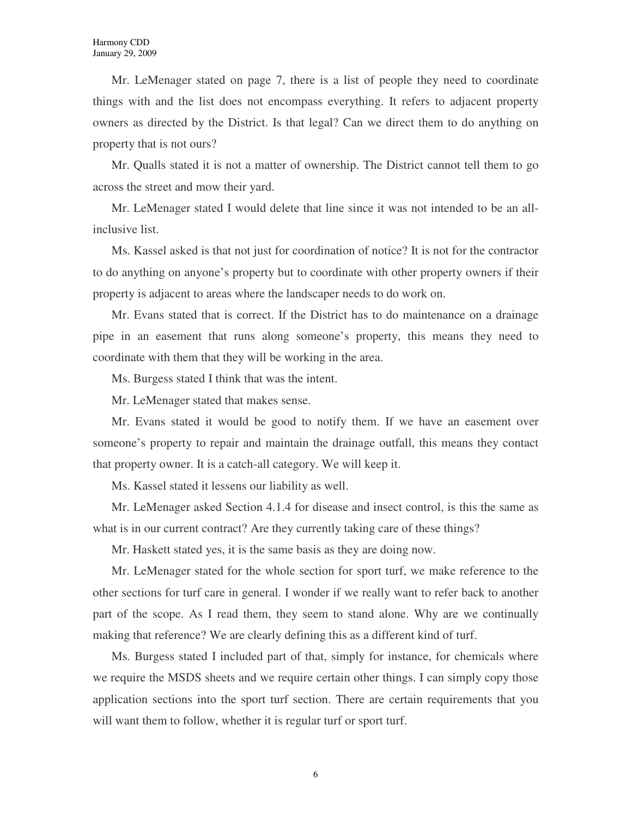Mr. LeMenager stated on page 7, there is a list of people they need to coordinate things with and the list does not encompass everything. It refers to adjacent property owners as directed by the District. Is that legal? Can we direct them to do anything on property that is not ours?

Mr. Qualls stated it is not a matter of ownership. The District cannot tell them to go across the street and mow their yard.

Mr. LeMenager stated I would delete that line since it was not intended to be an allinclusive list.

Ms. Kassel asked is that not just for coordination of notice? It is not for the contractor to do anything on anyone's property but to coordinate with other property owners if their property is adjacent to areas where the landscaper needs to do work on.

Mr. Evans stated that is correct. If the District has to do maintenance on a drainage pipe in an easement that runs along someone's property, this means they need to coordinate with them that they will be working in the area.

Ms. Burgess stated I think that was the intent.

Mr. LeMenager stated that makes sense.

Mr. Evans stated it would be good to notify them. If we have an easement over someone's property to repair and maintain the drainage outfall, this means they contact that property owner. It is a catch-all category. We will keep it.

Ms. Kassel stated it lessens our liability as well.

Mr. LeMenager asked Section 4.1.4 for disease and insect control, is this the same as what is in our current contract? Are they currently taking care of these things?

Mr. Haskett stated yes, it is the same basis as they are doing now.

Mr. LeMenager stated for the whole section for sport turf, we make reference to the other sections for turf care in general. I wonder if we really want to refer back to another part of the scope. As I read them, they seem to stand alone. Why are we continually making that reference? We are clearly defining this as a different kind of turf.

Ms. Burgess stated I included part of that, simply for instance, for chemicals where we require the MSDS sheets and we require certain other things. I can simply copy those application sections into the sport turf section. There are certain requirements that you will want them to follow, whether it is regular turf or sport turf.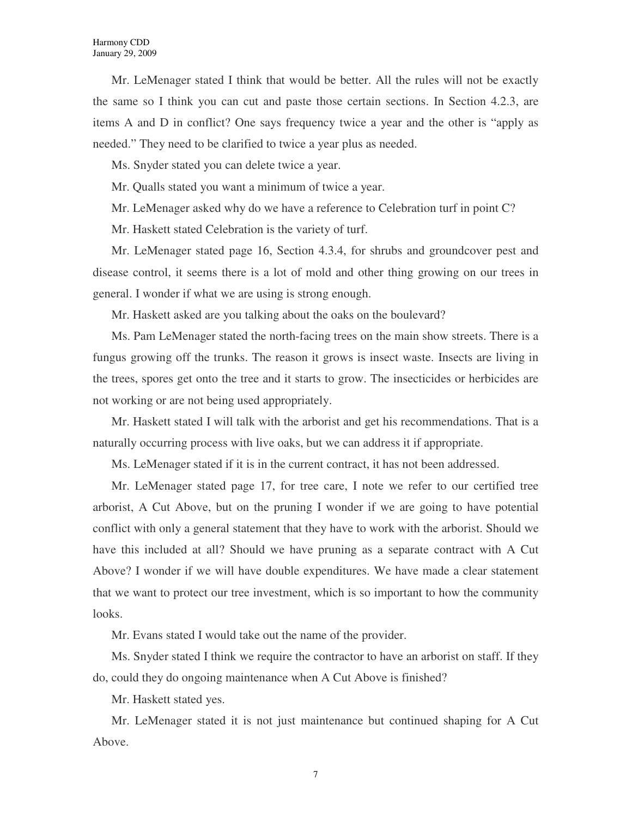Mr. LeMenager stated I think that would be better. All the rules will not be exactly the same so I think you can cut and paste those certain sections. In Section 4.2.3, are items A and D in conflict? One says frequency twice a year and the other is "apply as needed." They need to be clarified to twice a year plus as needed.

Ms. Snyder stated you can delete twice a year.

Mr. Qualls stated you want a minimum of twice a year.

Mr. LeMenager asked why do we have a reference to Celebration turf in point C?

Mr. Haskett stated Celebration is the variety of turf.

Mr. LeMenager stated page 16, Section 4.3.4, for shrubs and groundcover pest and disease control, it seems there is a lot of mold and other thing growing on our trees in general. I wonder if what we are using is strong enough.

Mr. Haskett asked are you talking about the oaks on the boulevard?

Ms. Pam LeMenager stated the north-facing trees on the main show streets. There is a fungus growing off the trunks. The reason it grows is insect waste. Insects are living in the trees, spores get onto the tree and it starts to grow. The insecticides or herbicides are not working or are not being used appropriately.

Mr. Haskett stated I will talk with the arborist and get his recommendations. That is a naturally occurring process with live oaks, but we can address it if appropriate.

Ms. LeMenager stated if it is in the current contract, it has not been addressed.

Mr. LeMenager stated page 17, for tree care, I note we refer to our certified tree arborist, A Cut Above, but on the pruning I wonder if we are going to have potential conflict with only a general statement that they have to work with the arborist. Should we have this included at all? Should we have pruning as a separate contract with A Cut Above? I wonder if we will have double expenditures. We have made a clear statement that we want to protect our tree investment, which is so important to how the community looks.

Mr. Evans stated I would take out the name of the provider.

Ms. Snyder stated I think we require the contractor to have an arborist on staff. If they do, could they do ongoing maintenance when A Cut Above is finished?

Mr. Haskett stated yes.

Mr. LeMenager stated it is not just maintenance but continued shaping for A Cut Above.

7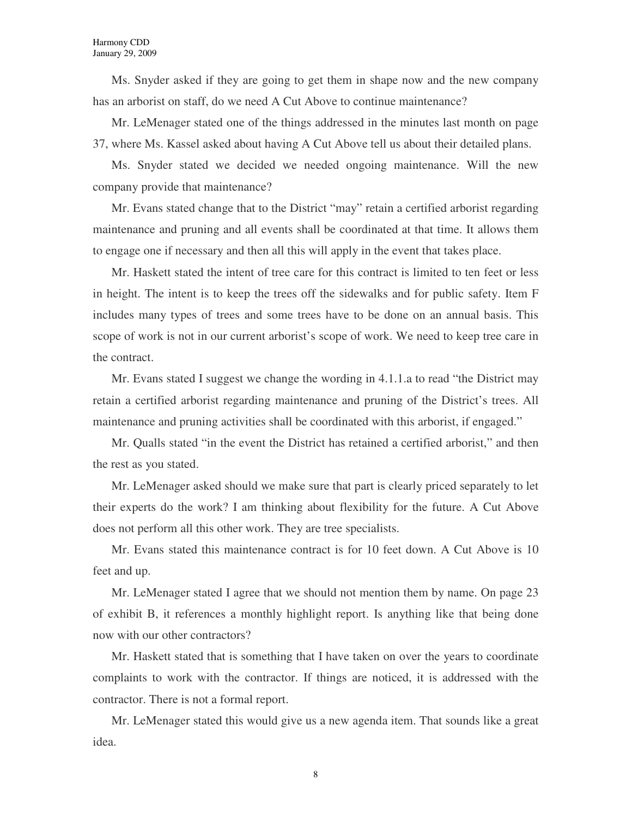Ms. Snyder asked if they are going to get them in shape now and the new company has an arborist on staff, do we need A Cut Above to continue maintenance?

Mr. LeMenager stated one of the things addressed in the minutes last month on page 37, where Ms. Kassel asked about having A Cut Above tell us about their detailed plans.

Ms. Snyder stated we decided we needed ongoing maintenance. Will the new company provide that maintenance?

Mr. Evans stated change that to the District "may" retain a certified arborist regarding maintenance and pruning and all events shall be coordinated at that time. It allows them to engage one if necessary and then all this will apply in the event that takes place.

Mr. Haskett stated the intent of tree care for this contract is limited to ten feet or less in height. The intent is to keep the trees off the sidewalks and for public safety. Item F includes many types of trees and some trees have to be done on an annual basis. This scope of work is not in our current arborist's scope of work. We need to keep tree care in the contract.

Mr. Evans stated I suggest we change the wording in 4.1.1.a to read "the District may retain a certified arborist regarding maintenance and pruning of the District's trees. All maintenance and pruning activities shall be coordinated with this arborist, if engaged."

Mr. Qualls stated "in the event the District has retained a certified arborist," and then the rest as you stated.

Mr. LeMenager asked should we make sure that part is clearly priced separately to let their experts do the work? I am thinking about flexibility for the future. A Cut Above does not perform all this other work. They are tree specialists.

Mr. Evans stated this maintenance contract is for 10 feet down. A Cut Above is 10 feet and up.

Mr. LeMenager stated I agree that we should not mention them by name. On page 23 of exhibit B, it references a monthly highlight report. Is anything like that being done now with our other contractors?

Mr. Haskett stated that is something that I have taken on over the years to coordinate complaints to work with the contractor. If things are noticed, it is addressed with the contractor. There is not a formal report.

Mr. LeMenager stated this would give us a new agenda item. That sounds like a great idea.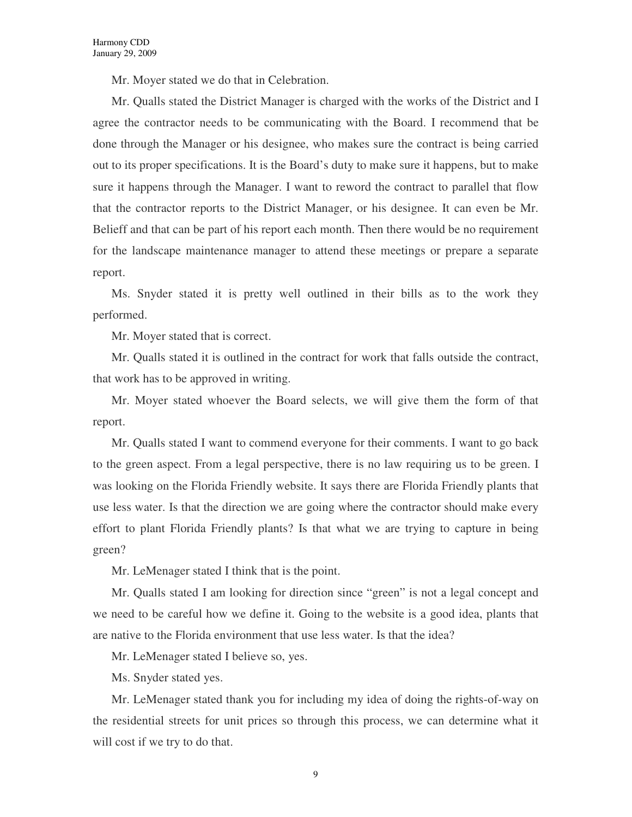Mr. Moyer stated we do that in Celebration.

Mr. Qualls stated the District Manager is charged with the works of the District and I agree the contractor needs to be communicating with the Board. I recommend that be done through the Manager or his designee, who makes sure the contract is being carried out to its proper specifications. It is the Board's duty to make sure it happens, but to make sure it happens through the Manager. I want to reword the contract to parallel that flow that the contractor reports to the District Manager, or his designee. It can even be Mr. Belieff and that can be part of his report each month. Then there would be no requirement for the landscape maintenance manager to attend these meetings or prepare a separate report.

Ms. Snyder stated it is pretty well outlined in their bills as to the work they performed.

Mr. Moyer stated that is correct.

Mr. Qualls stated it is outlined in the contract for work that falls outside the contract, that work has to be approved in writing.

Mr. Moyer stated whoever the Board selects, we will give them the form of that report.

Mr. Qualls stated I want to commend everyone for their comments. I want to go back to the green aspect. From a legal perspective, there is no law requiring us to be green. I was looking on the Florida Friendly website. It says there are Florida Friendly plants that use less water. Is that the direction we are going where the contractor should make every effort to plant Florida Friendly plants? Is that what we are trying to capture in being green?

Mr. LeMenager stated I think that is the point.

Mr. Qualls stated I am looking for direction since "green" is not a legal concept and we need to be careful how we define it. Going to the website is a good idea, plants that are native to the Florida environment that use less water. Is that the idea?

Mr. LeMenager stated I believe so, yes.

Ms. Snyder stated yes.

Mr. LeMenager stated thank you for including my idea of doing the rights-of-way on the residential streets for unit prices so through this process, we can determine what it will cost if we try to do that.

9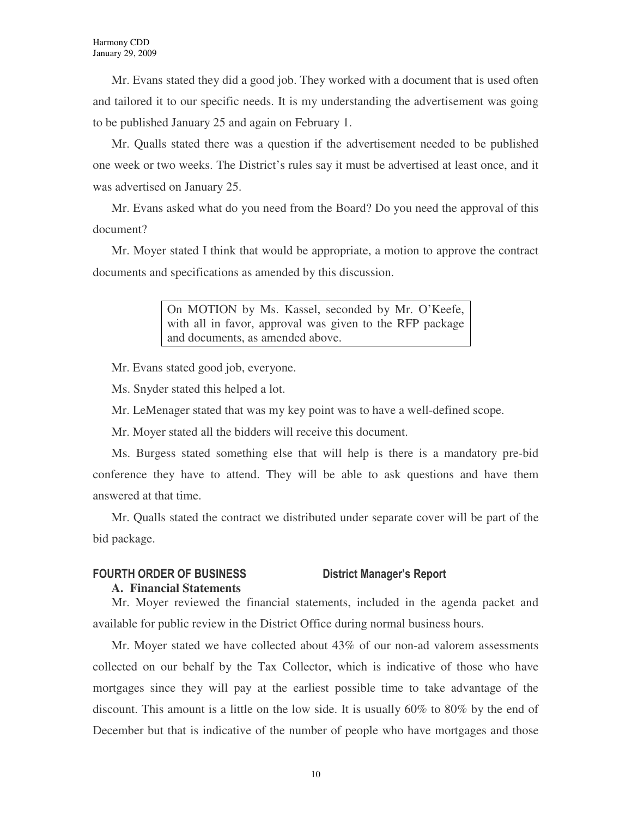Mr. Evans stated they did a good job. They worked with a document that is used often and tailored it to our specific needs. It is my understanding the advertisement was going to be published January 25 and again on February 1.

Mr. Qualls stated there was a question if the advertisement needed to be published one week or two weeks. The District's rules say it must be advertised at least once, and it was advertised on January 25.

Mr. Evans asked what do you need from the Board? Do you need the approval of this document?

Mr. Moyer stated I think that would be appropriate, a motion to approve the contract documents and specifications as amended by this discussion.

> On MOTION by Ms. Kassel, seconded by Mr. O'Keefe, with all in favor, approval was given to the RFP package and documents, as amended above.

Mr. Evans stated good job, everyone.

Ms. Snyder stated this helped a lot.

Mr. LeMenager stated that was my key point was to have a well-defined scope.

Mr. Moyer stated all the bidders will receive this document.

Ms. Burgess stated something else that will help is there is a mandatory pre-bid conference they have to attend. They will be able to ask questions and have them answered at that time.

Mr. Qualls stated the contract we distributed under separate cover will be part of the bid package.

# FOURTH ORDER OF BUSINESS District Manager's Report

### **A. Financial Statements**

Mr. Moyer reviewed the financial statements, included in the agenda packet and available for public review in the District Office during normal business hours.

Mr. Moyer stated we have collected about 43% of our non-ad valorem assessments collected on our behalf by the Tax Collector, which is indicative of those who have mortgages since they will pay at the earliest possible time to take advantage of the discount. This amount is a little on the low side. It is usually 60% to 80% by the end of December but that is indicative of the number of people who have mortgages and those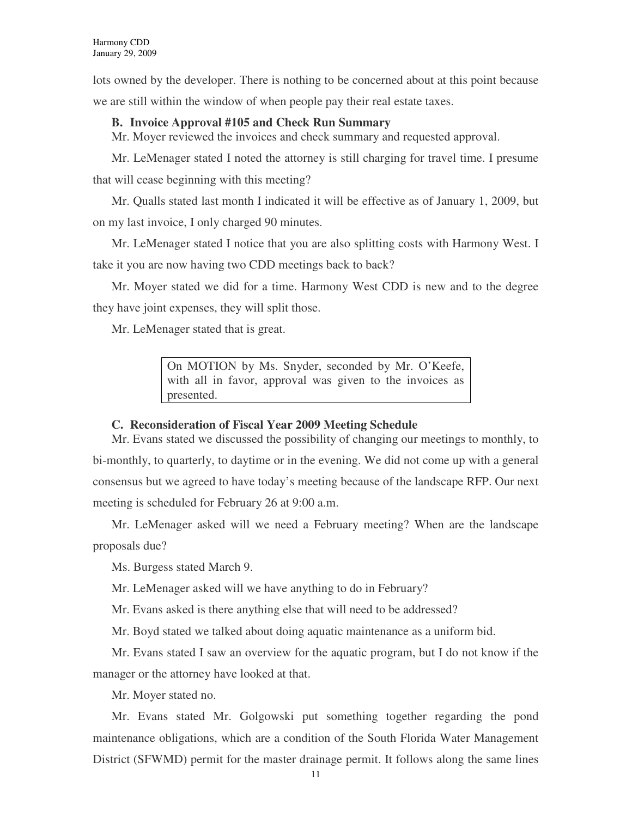lots owned by the developer. There is nothing to be concerned about at this point because we are still within the window of when people pay their real estate taxes.

# **B. Invoice Approval #105 and Check Run Summary**

Mr. Moyer reviewed the invoices and check summary and requested approval.

Mr. LeMenager stated I noted the attorney is still charging for travel time. I presume that will cease beginning with this meeting?

Mr. Qualls stated last month I indicated it will be effective as of January 1, 2009, but on my last invoice, I only charged 90 minutes.

Mr. LeMenager stated I notice that you are also splitting costs with Harmony West. I take it you are now having two CDD meetings back to back?

Mr. Moyer stated we did for a time. Harmony West CDD is new and to the degree they have joint expenses, they will split those.

Mr. LeMenager stated that is great.

On MOTION by Ms. Snyder, seconded by Mr. O'Keefe, with all in favor, approval was given to the invoices as presented.

# **C. Reconsideration of Fiscal Year 2009 Meeting Schedule**

Mr. Evans stated we discussed the possibility of changing our meetings to monthly, to bi-monthly, to quarterly, to daytime or in the evening. We did not come up with a general consensus but we agreed to have today's meeting because of the landscape RFP. Our next meeting is scheduled for February 26 at 9:00 a.m.

Mr. LeMenager asked will we need a February meeting? When are the landscape proposals due?

Ms. Burgess stated March 9.

Mr. LeMenager asked will we have anything to do in February?

Mr. Evans asked is there anything else that will need to be addressed?

Mr. Boyd stated we talked about doing aquatic maintenance as a uniform bid.

Mr. Evans stated I saw an overview for the aquatic program, but I do not know if the manager or the attorney have looked at that.

Mr. Moyer stated no.

Mr. Evans stated Mr. Golgowski put something together regarding the pond maintenance obligations, which are a condition of the South Florida Water Management District (SFWMD) permit for the master drainage permit. It follows along the same lines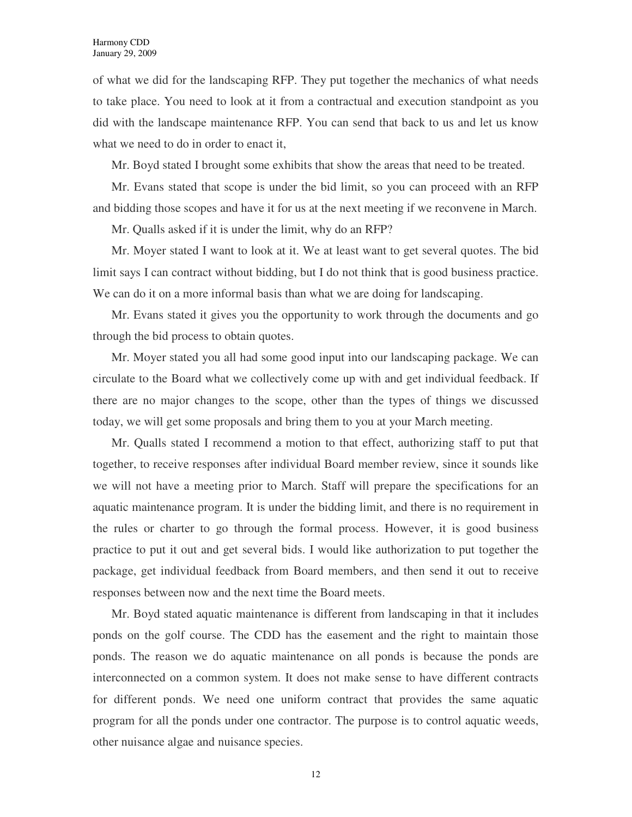of what we did for the landscaping RFP. They put together the mechanics of what needs to take place. You need to look at it from a contractual and execution standpoint as you did with the landscape maintenance RFP. You can send that back to us and let us know what we need to do in order to enact it,

Mr. Boyd stated I brought some exhibits that show the areas that need to be treated.

Mr. Evans stated that scope is under the bid limit, so you can proceed with an RFP and bidding those scopes and have it for us at the next meeting if we reconvene in March.

Mr. Qualls asked if it is under the limit, why do an RFP?

Mr. Moyer stated I want to look at it. We at least want to get several quotes. The bid limit says I can contract without bidding, but I do not think that is good business practice. We can do it on a more informal basis than what we are doing for landscaping.

Mr. Evans stated it gives you the opportunity to work through the documents and go through the bid process to obtain quotes.

Mr. Moyer stated you all had some good input into our landscaping package. We can circulate to the Board what we collectively come up with and get individual feedback. If there are no major changes to the scope, other than the types of things we discussed today, we will get some proposals and bring them to you at your March meeting.

Mr. Qualls stated I recommend a motion to that effect, authorizing staff to put that together, to receive responses after individual Board member review, since it sounds like we will not have a meeting prior to March. Staff will prepare the specifications for an aquatic maintenance program. It is under the bidding limit, and there is no requirement in the rules or charter to go through the formal process. However, it is good business practice to put it out and get several bids. I would like authorization to put together the package, get individual feedback from Board members, and then send it out to receive responses between now and the next time the Board meets.

Mr. Boyd stated aquatic maintenance is different from landscaping in that it includes ponds on the golf course. The CDD has the easement and the right to maintain those ponds. The reason we do aquatic maintenance on all ponds is because the ponds are interconnected on a common system. It does not make sense to have different contracts for different ponds. We need one uniform contract that provides the same aquatic program for all the ponds under one contractor. The purpose is to control aquatic weeds, other nuisance algae and nuisance species.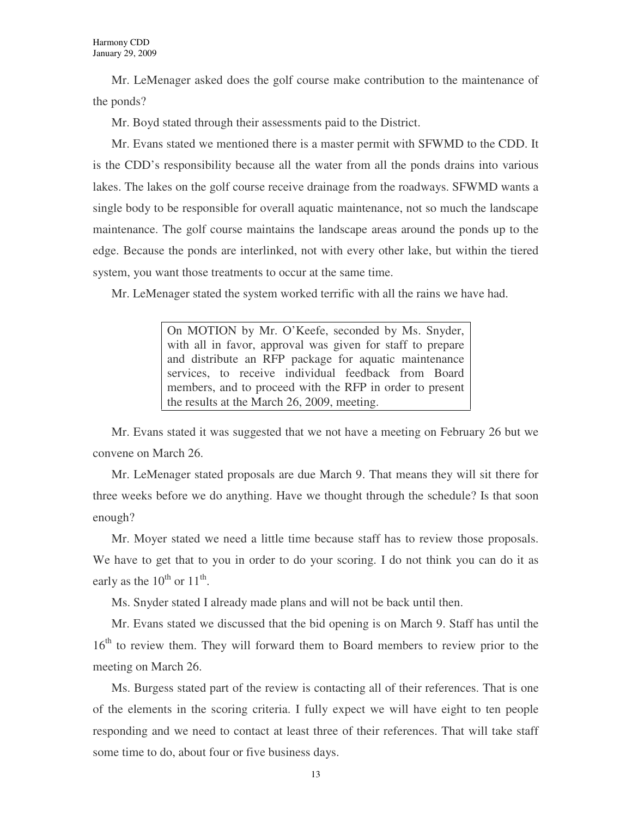Mr. LeMenager asked does the golf course make contribution to the maintenance of the ponds?

Mr. Boyd stated through their assessments paid to the District.

Mr. Evans stated we mentioned there is a master permit with SFWMD to the CDD. It is the CDD's responsibility because all the water from all the ponds drains into various lakes. The lakes on the golf course receive drainage from the roadways. SFWMD wants a single body to be responsible for overall aquatic maintenance, not so much the landscape maintenance. The golf course maintains the landscape areas around the ponds up to the edge. Because the ponds are interlinked, not with every other lake, but within the tiered system, you want those treatments to occur at the same time.

Mr. LeMenager stated the system worked terrific with all the rains we have had.

On MOTION by Mr. O'Keefe, seconded by Ms. Snyder, with all in favor, approval was given for staff to prepare and distribute an RFP package for aquatic maintenance services, to receive individual feedback from Board members, and to proceed with the RFP in order to present the results at the March 26, 2009, meeting.

Mr. Evans stated it was suggested that we not have a meeting on February 26 but we convene on March 26.

Mr. LeMenager stated proposals are due March 9. That means they will sit there for three weeks before we do anything. Have we thought through the schedule? Is that soon enough?

Mr. Moyer stated we need a little time because staff has to review those proposals. We have to get that to you in order to do your scoring. I do not think you can do it as early as the  $10^{th}$  or  $11^{th}$ .

Ms. Snyder stated I already made plans and will not be back until then.

Mr. Evans stated we discussed that the bid opening is on March 9. Staff has until the 16<sup>th</sup> to review them. They will forward them to Board members to review prior to the meeting on March 26.

Ms. Burgess stated part of the review is contacting all of their references. That is one of the elements in the scoring criteria. I fully expect we will have eight to ten people responding and we need to contact at least three of their references. That will take staff some time to do, about four or five business days.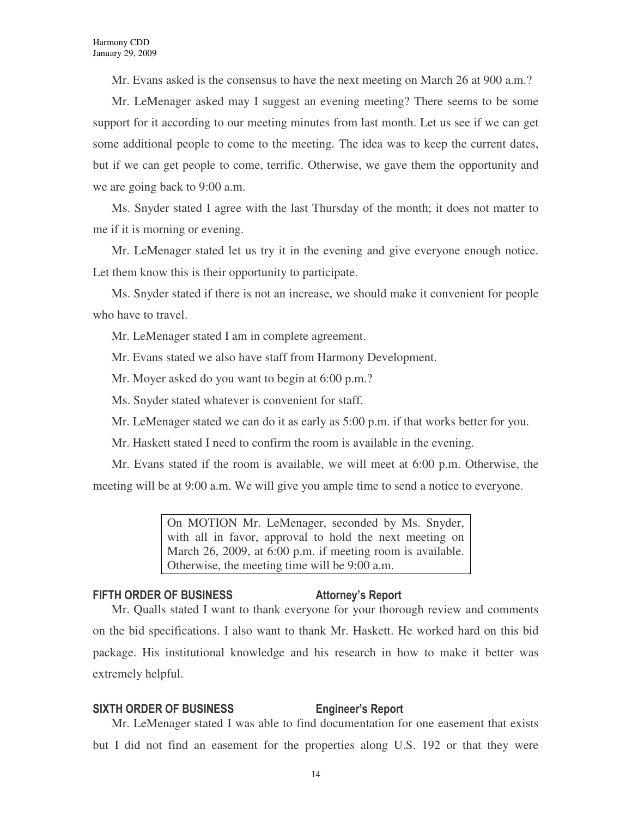Mr. Evans asked is the consensus to have the next meeting on March 26 at 900 a.m.?

Mr. LeMenager asked may I suggest an evening meeting? There seems to be some support for it according to our meeting minutes from last month. Let us see if we can get some additional people to come to the meeting. The idea was to keep the current dates, but if we can get people to come, terrific. Otherwise, we gave them the opportunity and we are going back to 9:00 a.m.

Ms. Snyder stated I agree with the last Thursday of the month; it does not matter to me if it is morning or evening.

Mr. LeMenager stated let us try it in the evening and give everyone enough notice. Let them know this is their opportunity to participate.

Ms. Snyder stated if there is not an increase, we should make it convenient for people who have to travel.

Mr. LeMenager stated I am in complete agreement.

Mr. Evans stated we also have staff from Harmony Development.

Mr. Moyer asked do you want to begin at 6:00 p.m.?

Ms. Snyder stated whatever is convenient for staff.

Mr. LeMenager stated we can do it as early as 5:00 p.m. if that works better for you.

Mr. Haskett stated I need to confirm the room is available in the evening.

Mr. Evans stated if the room is available, we will meet at 6:00 p.m. Otherwise, the meeting will be at 9:00 a.m. We will give you ample time to send a notice to everyone.

> On MOTION Mr. LeMenager, seconded by Ms. Snyder, with all in favor, approval to hold the next meeting on March 26, 2009, at 6:00 p.m. if meeting room is available. Otherwise, the meeting time will be 9:00 a.m.

# FIFTH ORDER OF BUSINESS Attorney's Report

Mr. Qualls stated I want to thank everyone for your thorough review and comments on the bid specifications. I also want to thank Mr. Haskett. He worked hard on this bid package. His institutional knowledge and his research in how to make it better was extremely helpful.

# SIXTH ORDER OF BUSINESS Engineer's Report

Mr. LeMenager stated I was able to find documentation for one easement that exists but I did not find an easement for the properties along U.S. 192 or that they were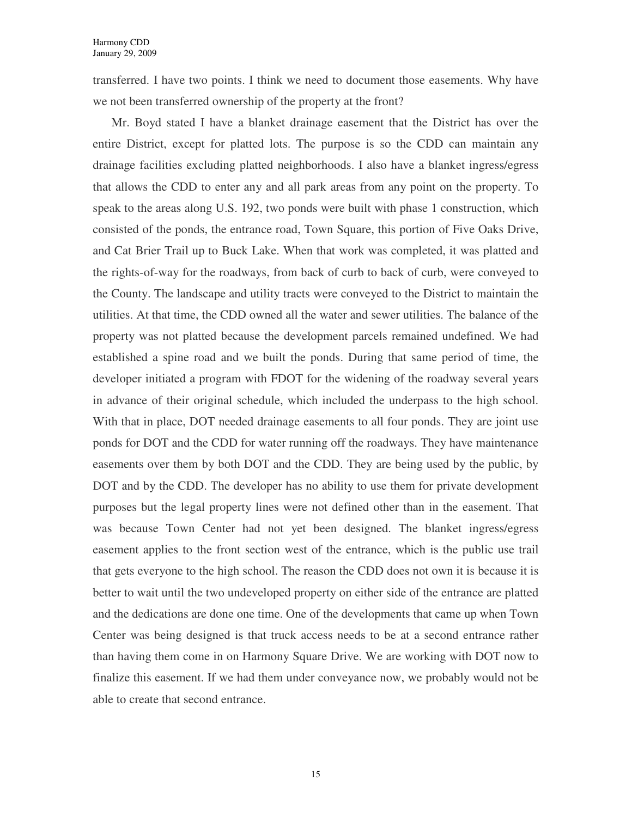transferred. I have two points. I think we need to document those easements. Why have we not been transferred ownership of the property at the front?

Mr. Boyd stated I have a blanket drainage easement that the District has over the entire District, except for platted lots. The purpose is so the CDD can maintain any drainage facilities excluding platted neighborhoods. I also have a blanket ingress/egress that allows the CDD to enter any and all park areas from any point on the property. To speak to the areas along U.S. 192, two ponds were built with phase 1 construction, which consisted of the ponds, the entrance road, Town Square, this portion of Five Oaks Drive, and Cat Brier Trail up to Buck Lake. When that work was completed, it was platted and the rights-of-way for the roadways, from back of curb to back of curb, were conveyed to the County. The landscape and utility tracts were conveyed to the District to maintain the utilities. At that time, the CDD owned all the water and sewer utilities. The balance of the property was not platted because the development parcels remained undefined. We had established a spine road and we built the ponds. During that same period of time, the developer initiated a program with FDOT for the widening of the roadway several years in advance of their original schedule, which included the underpass to the high school. With that in place, DOT needed drainage easements to all four ponds. They are joint use ponds for DOT and the CDD for water running off the roadways. They have maintenance easements over them by both DOT and the CDD. They are being used by the public, by DOT and by the CDD. The developer has no ability to use them for private development purposes but the legal property lines were not defined other than in the easement. That was because Town Center had not yet been designed. The blanket ingress/egress easement applies to the front section west of the entrance, which is the public use trail that gets everyone to the high school. The reason the CDD does not own it is because it is better to wait until the two undeveloped property on either side of the entrance are platted and the dedications are done one time. One of the developments that came up when Town Center was being designed is that truck access needs to be at a second entrance rather than having them come in on Harmony Square Drive. We are working with DOT now to finalize this easement. If we had them under conveyance now, we probably would not be able to create that second entrance.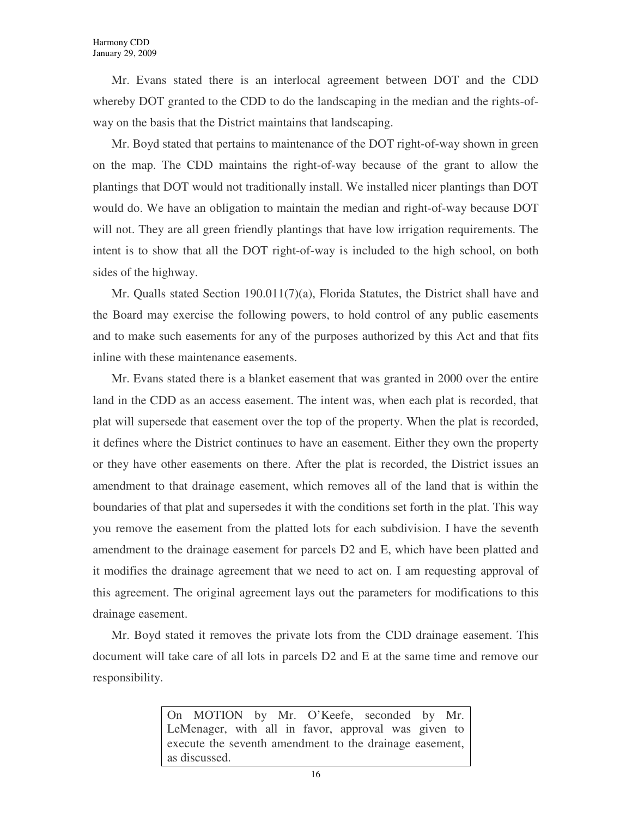Mr. Evans stated there is an interlocal agreement between DOT and the CDD whereby DOT granted to the CDD to do the landscaping in the median and the rights-ofway on the basis that the District maintains that landscaping.

Mr. Boyd stated that pertains to maintenance of the DOT right-of-way shown in green on the map. The CDD maintains the right-of-way because of the grant to allow the plantings that DOT would not traditionally install. We installed nicer plantings than DOT would do. We have an obligation to maintain the median and right-of-way because DOT will not. They are all green friendly plantings that have low irrigation requirements. The intent is to show that all the DOT right-of-way is included to the high school, on both sides of the highway.

Mr. Qualls stated Section 190.011(7)(a), Florida Statutes, the District shall have and the Board may exercise the following powers, to hold control of any public easements and to make such easements for any of the purposes authorized by this Act and that fits inline with these maintenance easements.

Mr. Evans stated there is a blanket easement that was granted in 2000 over the entire land in the CDD as an access easement. The intent was, when each plat is recorded, that plat will supersede that easement over the top of the property. When the plat is recorded, it defines where the District continues to have an easement. Either they own the property or they have other easements on there. After the plat is recorded, the District issues an amendment to that drainage easement, which removes all of the land that is within the boundaries of that plat and supersedes it with the conditions set forth in the plat. This way you remove the easement from the platted lots for each subdivision. I have the seventh amendment to the drainage easement for parcels D2 and E, which have been platted and it modifies the drainage agreement that we need to act on. I am requesting approval of this agreement. The original agreement lays out the parameters for modifications to this drainage easement.

Mr. Boyd stated it removes the private lots from the CDD drainage easement. This document will take care of all lots in parcels D2 and E at the same time and remove our responsibility.

> On MOTION by Mr. O'Keefe, seconded by Mr. LeMenager, with all in favor, approval was given to execute the seventh amendment to the drainage easement, as discussed.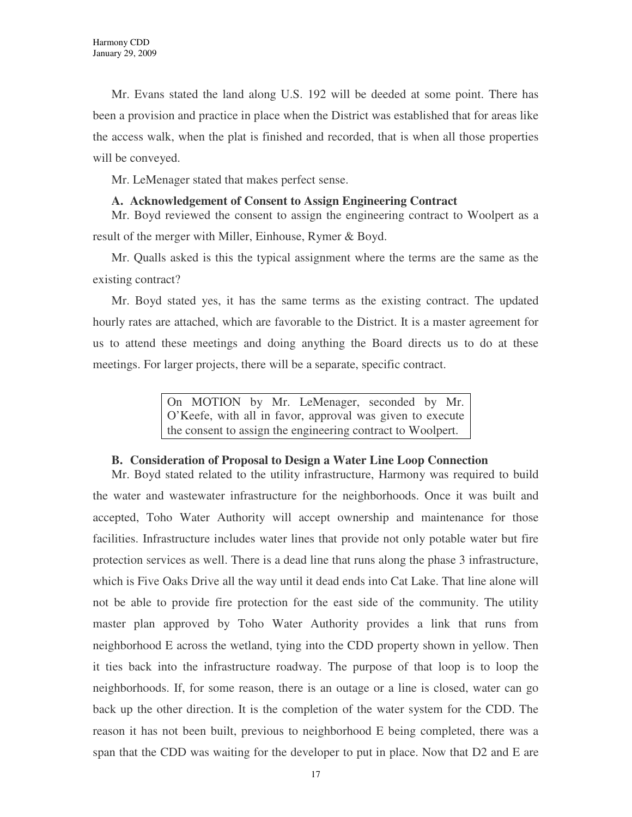Mr. Evans stated the land along U.S. 192 will be deeded at some point. There has been a provision and practice in place when the District was established that for areas like the access walk, when the plat is finished and recorded, that is when all those properties will be conveyed.

Mr. LeMenager stated that makes perfect sense.

### **A. Acknowledgement of Consent to Assign Engineering Contract**

Mr. Boyd reviewed the consent to assign the engineering contract to Woolpert as a result of the merger with Miller, Einhouse, Rymer & Boyd.

Mr. Qualls asked is this the typical assignment where the terms are the same as the existing contract?

Mr. Boyd stated yes, it has the same terms as the existing contract. The updated hourly rates are attached, which are favorable to the District. It is a master agreement for us to attend these meetings and doing anything the Board directs us to do at these meetings. For larger projects, there will be a separate, specific contract.

> On MOTION by Mr. LeMenager, seconded by Mr. O'Keefe, with all in favor, approval was given to execute the consent to assign the engineering contract to Woolpert.

# **B. Consideration of Proposal to Design a Water Line Loop Connection**

Mr. Boyd stated related to the utility infrastructure, Harmony was required to build the water and wastewater infrastructure for the neighborhoods. Once it was built and accepted, Toho Water Authority will accept ownership and maintenance for those facilities. Infrastructure includes water lines that provide not only potable water but fire protection services as well. There is a dead line that runs along the phase 3 infrastructure, which is Five Oaks Drive all the way until it dead ends into Cat Lake. That line alone will not be able to provide fire protection for the east side of the community. The utility master plan approved by Toho Water Authority provides a link that runs from neighborhood E across the wetland, tying into the CDD property shown in yellow. Then it ties back into the infrastructure roadway. The purpose of that loop is to loop the neighborhoods. If, for some reason, there is an outage or a line is closed, water can go back up the other direction. It is the completion of the water system for the CDD. The reason it has not been built, previous to neighborhood E being completed, there was a span that the CDD was waiting for the developer to put in place. Now that D2 and E are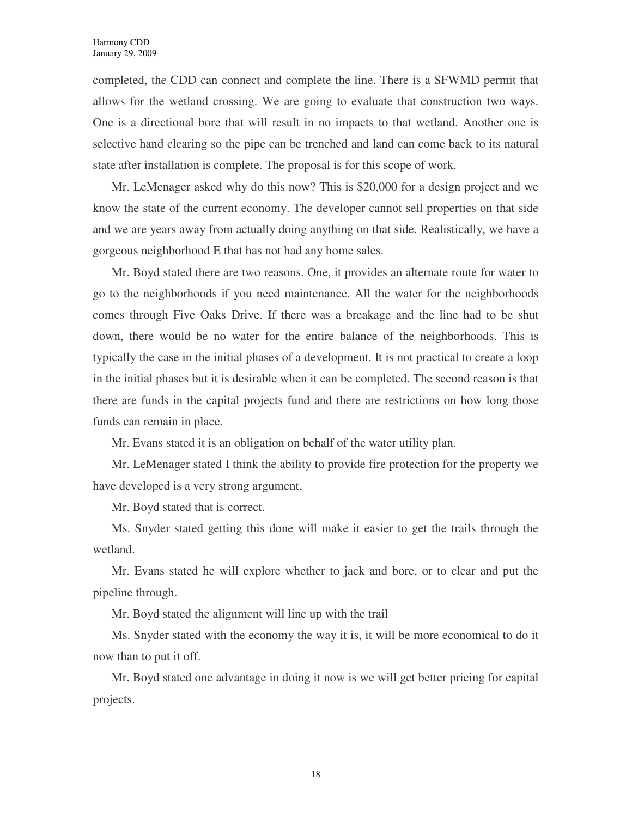completed, the CDD can connect and complete the line. There is a SFWMD permit that allows for the wetland crossing. We are going to evaluate that construction two ways. One is a directional bore that will result in no impacts to that wetland. Another one is selective hand clearing so the pipe can be trenched and land can come back to its natural state after installation is complete. The proposal is for this scope of work.

Mr. LeMenager asked why do this now? This is \$20,000 for a design project and we know the state of the current economy. The developer cannot sell properties on that side and we are years away from actually doing anything on that side. Realistically, we have a gorgeous neighborhood E that has not had any home sales.

Mr. Boyd stated there are two reasons. One, it provides an alternate route for water to go to the neighborhoods if you need maintenance. All the water for the neighborhoods comes through Five Oaks Drive. If there was a breakage and the line had to be shut down, there would be no water for the entire balance of the neighborhoods. This is typically the case in the initial phases of a development. It is not practical to create a loop in the initial phases but it is desirable when it can be completed. The second reason is that there are funds in the capital projects fund and there are restrictions on how long those funds can remain in place.

Mr. Evans stated it is an obligation on behalf of the water utility plan.

Mr. LeMenager stated I think the ability to provide fire protection for the property we have developed is a very strong argument,

Mr. Boyd stated that is correct.

Ms. Snyder stated getting this done will make it easier to get the trails through the wetland.

Mr. Evans stated he will explore whether to jack and bore, or to clear and put the pipeline through.

Mr. Boyd stated the alignment will line up with the trail

Ms. Snyder stated with the economy the way it is, it will be more economical to do it now than to put it off.

Mr. Boyd stated one advantage in doing it now is we will get better pricing for capital projects.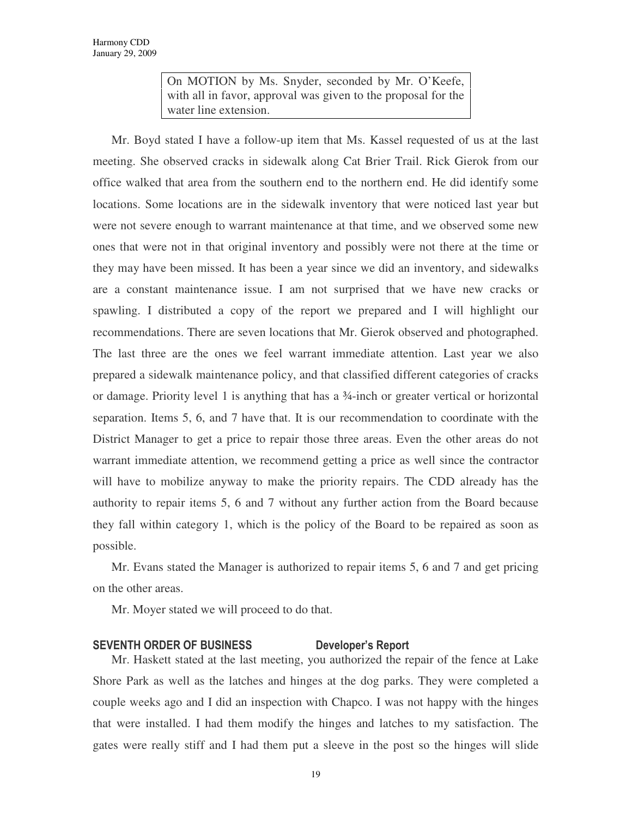On MOTION by Ms. Snyder, seconded by Mr. O'Keefe, with all in favor, approval was given to the proposal for the water line extension.

Mr. Boyd stated I have a follow-up item that Ms. Kassel requested of us at the last meeting. She observed cracks in sidewalk along Cat Brier Trail. Rick Gierok from our office walked that area from the southern end to the northern end. He did identify some locations. Some locations are in the sidewalk inventory that were noticed last year but were not severe enough to warrant maintenance at that time, and we observed some new ones that were not in that original inventory and possibly were not there at the time or they may have been missed. It has been a year since we did an inventory, and sidewalks are a constant maintenance issue. I am not surprised that we have new cracks or spawling. I distributed a copy of the report we prepared and I will highlight our recommendations. There are seven locations that Mr. Gierok observed and photographed. The last three are the ones we feel warrant immediate attention. Last year we also prepared a sidewalk maintenance policy, and that classified different categories of cracks or damage. Priority level 1 is anything that has a ¾-inch or greater vertical or horizontal separation. Items 5, 6, and 7 have that. It is our recommendation to coordinate with the District Manager to get a price to repair those three areas. Even the other areas do not warrant immediate attention, we recommend getting a price as well since the contractor will have to mobilize anyway to make the priority repairs. The CDD already has the authority to repair items 5, 6 and 7 without any further action from the Board because they fall within category 1, which is the policy of the Board to be repaired as soon as possible.

Mr. Evans stated the Manager is authorized to repair items 5, 6 and 7 and get pricing on the other areas.

Mr. Moyer stated we will proceed to do that.

# SEVENTH ORDER OF BUSINESS Developer's Report

Mr. Haskett stated at the last meeting, you authorized the repair of the fence at Lake Shore Park as well as the latches and hinges at the dog parks. They were completed a couple weeks ago and I did an inspection with Chapco. I was not happy with the hinges that were installed. I had them modify the hinges and latches to my satisfaction. The gates were really stiff and I had them put a sleeve in the post so the hinges will slide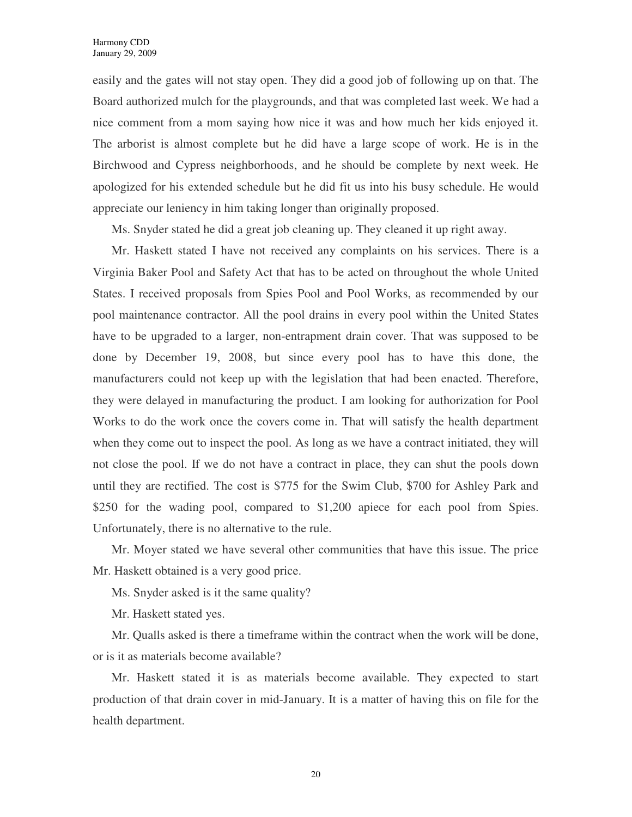easily and the gates will not stay open. They did a good job of following up on that. The Board authorized mulch for the playgrounds, and that was completed last week. We had a nice comment from a mom saying how nice it was and how much her kids enjoyed it. The arborist is almost complete but he did have a large scope of work. He is in the Birchwood and Cypress neighborhoods, and he should be complete by next week. He apologized for his extended schedule but he did fit us into his busy schedule. He would appreciate our leniency in him taking longer than originally proposed.

Ms. Snyder stated he did a great job cleaning up. They cleaned it up right away.

Mr. Haskett stated I have not received any complaints on his services. There is a Virginia Baker Pool and Safety Act that has to be acted on throughout the whole United States. I received proposals from Spies Pool and Pool Works, as recommended by our pool maintenance contractor. All the pool drains in every pool within the United States have to be upgraded to a larger, non-entrapment drain cover. That was supposed to be done by December 19, 2008, but since every pool has to have this done, the manufacturers could not keep up with the legislation that had been enacted. Therefore, they were delayed in manufacturing the product. I am looking for authorization for Pool Works to do the work once the covers come in. That will satisfy the health department when they come out to inspect the pool. As long as we have a contract initiated, they will not close the pool. If we do not have a contract in place, they can shut the pools down until they are rectified. The cost is \$775 for the Swim Club, \$700 for Ashley Park and \$250 for the wading pool, compared to \$1,200 apiece for each pool from Spies. Unfortunately, there is no alternative to the rule.

Mr. Moyer stated we have several other communities that have this issue. The price Mr. Haskett obtained is a very good price.

Ms. Snyder asked is it the same quality?

Mr. Haskett stated yes.

Mr. Qualls asked is there a timeframe within the contract when the work will be done, or is it as materials become available?

Mr. Haskett stated it is as materials become available. They expected to start production of that drain cover in mid-January. It is a matter of having this on file for the health department.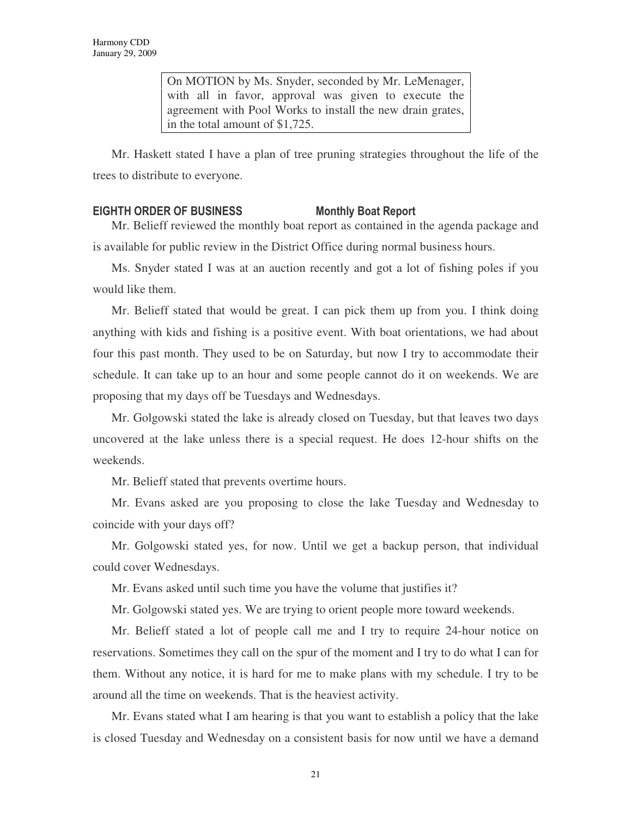On MOTION by Ms. Snyder, seconded by Mr. LeMenager, with all in favor, approval was given to execute the agreement with Pool Works to install the new drain grates, in the total amount of \$1,725.

Mr. Haskett stated I have a plan of tree pruning strategies throughout the life of the trees to distribute to everyone.

# EIGHTH ORDER OF BUSINESS Monthly Boat Report

Mr. Belieff reviewed the monthly boat report as contained in the agenda package and is available for public review in the District Office during normal business hours.

Ms. Snyder stated I was at an auction recently and got a lot of fishing poles if you would like them.

Mr. Belieff stated that would be great. I can pick them up from you. I think doing anything with kids and fishing is a positive event. With boat orientations, we had about four this past month. They used to be on Saturday, but now I try to accommodate their schedule. It can take up to an hour and some people cannot do it on weekends. We are proposing that my days off be Tuesdays and Wednesdays.

Mr. Golgowski stated the lake is already closed on Tuesday, but that leaves two days uncovered at the lake unless there is a special request. He does 12-hour shifts on the weekends.

Mr. Belieff stated that prevents overtime hours.

Mr. Evans asked are you proposing to close the lake Tuesday and Wednesday to coincide with your days off?

Mr. Golgowski stated yes, for now. Until we get a backup person, that individual could cover Wednesdays.

Mr. Evans asked until such time you have the volume that justifies it?

Mr. Golgowski stated yes. We are trying to orient people more toward weekends.

Mr. Belieff stated a lot of people call me and I try to require 24-hour notice on reservations. Sometimes they call on the spur of the moment and I try to do what I can for them. Without any notice, it is hard for me to make plans with my schedule. I try to be around all the time on weekends. That is the heaviest activity.

Mr. Evans stated what I am hearing is that you want to establish a policy that the lake is closed Tuesday and Wednesday on a consistent basis for now until we have a demand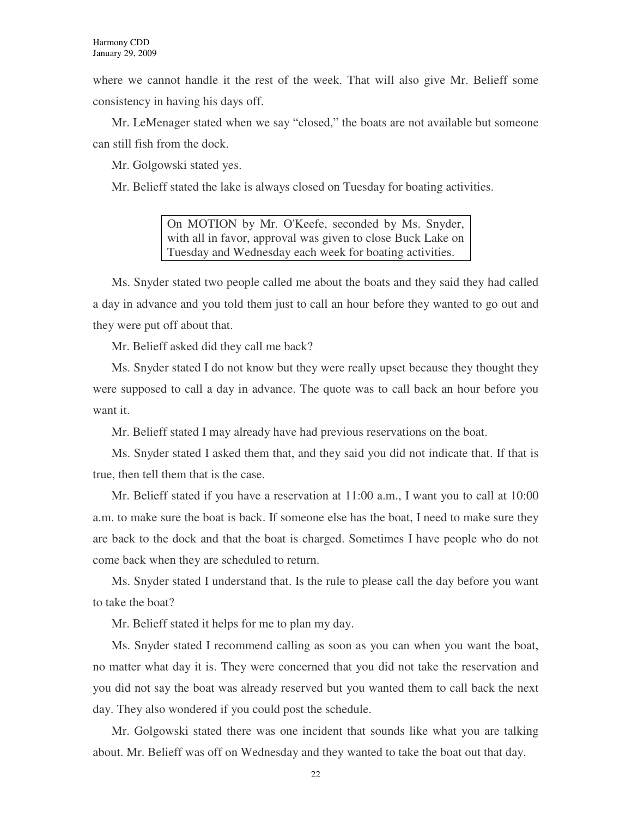where we cannot handle it the rest of the week. That will also give Mr. Belieff some consistency in having his days off.

Mr. LeMenager stated when we say "closed," the boats are not available but someone can still fish from the dock.

Mr. Golgowski stated yes.

Mr. Belieff stated the lake is always closed on Tuesday for boating activities.

On MOTION by Mr. O'Keefe, seconded by Ms. Snyder, with all in favor, approval was given to close Buck Lake on Tuesday and Wednesday each week for boating activities.

Ms. Snyder stated two people called me about the boats and they said they had called a day in advance and you told them just to call an hour before they wanted to go out and they were put off about that.

Mr. Belieff asked did they call me back?

Ms. Snyder stated I do not know but they were really upset because they thought they were supposed to call a day in advance. The quote was to call back an hour before you want it.

Mr. Belieff stated I may already have had previous reservations on the boat.

Ms. Snyder stated I asked them that, and they said you did not indicate that. If that is true, then tell them that is the case.

Mr. Belieff stated if you have a reservation at 11:00 a.m., I want you to call at 10:00 a.m. to make sure the boat is back. If someone else has the boat, I need to make sure they are back to the dock and that the boat is charged. Sometimes I have people who do not come back when they are scheduled to return.

Ms. Snyder stated I understand that. Is the rule to please call the day before you want to take the boat?

Mr. Belieff stated it helps for me to plan my day.

Ms. Snyder stated I recommend calling as soon as you can when you want the boat, no matter what day it is. They were concerned that you did not take the reservation and you did not say the boat was already reserved but you wanted them to call back the next day. They also wondered if you could post the schedule.

Mr. Golgowski stated there was one incident that sounds like what you are talking about. Mr. Belieff was off on Wednesday and they wanted to take the boat out that day.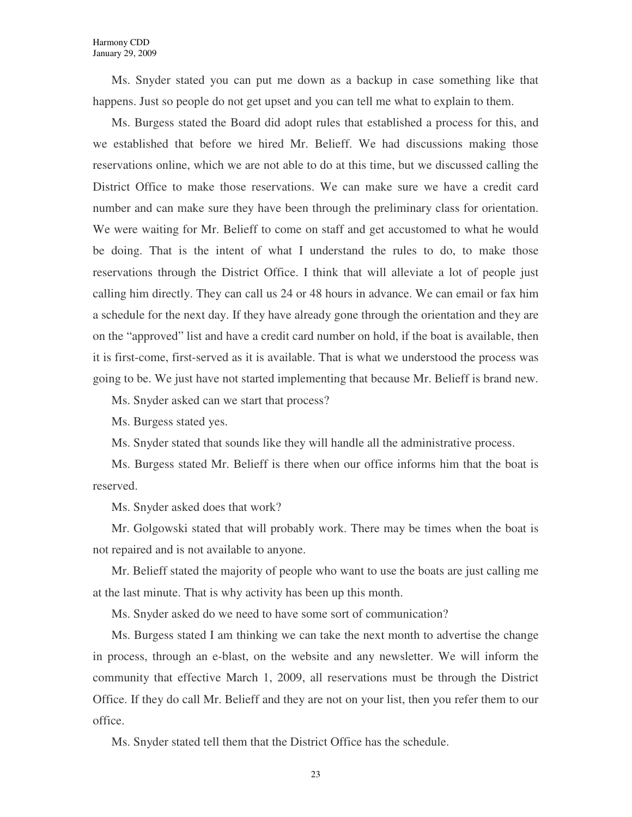Ms. Snyder stated you can put me down as a backup in case something like that happens. Just so people do not get upset and you can tell me what to explain to them.

Ms. Burgess stated the Board did adopt rules that established a process for this, and we established that before we hired Mr. Belieff. We had discussions making those reservations online, which we are not able to do at this time, but we discussed calling the District Office to make those reservations. We can make sure we have a credit card number and can make sure they have been through the preliminary class for orientation. We were waiting for Mr. Belieff to come on staff and get accustomed to what he would be doing. That is the intent of what I understand the rules to do, to make those reservations through the District Office. I think that will alleviate a lot of people just calling him directly. They can call us 24 or 48 hours in advance. We can email or fax him a schedule for the next day. If they have already gone through the orientation and they are on the "approved" list and have a credit card number on hold, if the boat is available, then it is first-come, first-served as it is available. That is what we understood the process was going to be. We just have not started implementing that because Mr. Belieff is brand new.

Ms. Snyder asked can we start that process?

Ms. Burgess stated yes.

Ms. Snyder stated that sounds like they will handle all the administrative process.

Ms. Burgess stated Mr. Belieff is there when our office informs him that the boat is reserved.

Ms. Snyder asked does that work?

Mr. Golgowski stated that will probably work. There may be times when the boat is not repaired and is not available to anyone.

Mr. Belieff stated the majority of people who want to use the boats are just calling me at the last minute. That is why activity has been up this month.

Ms. Snyder asked do we need to have some sort of communication?

Ms. Burgess stated I am thinking we can take the next month to advertise the change in process, through an e-blast, on the website and any newsletter. We will inform the community that effective March 1, 2009, all reservations must be through the District Office. If they do call Mr. Belieff and they are not on your list, then you refer them to our office.

Ms. Snyder stated tell them that the District Office has the schedule.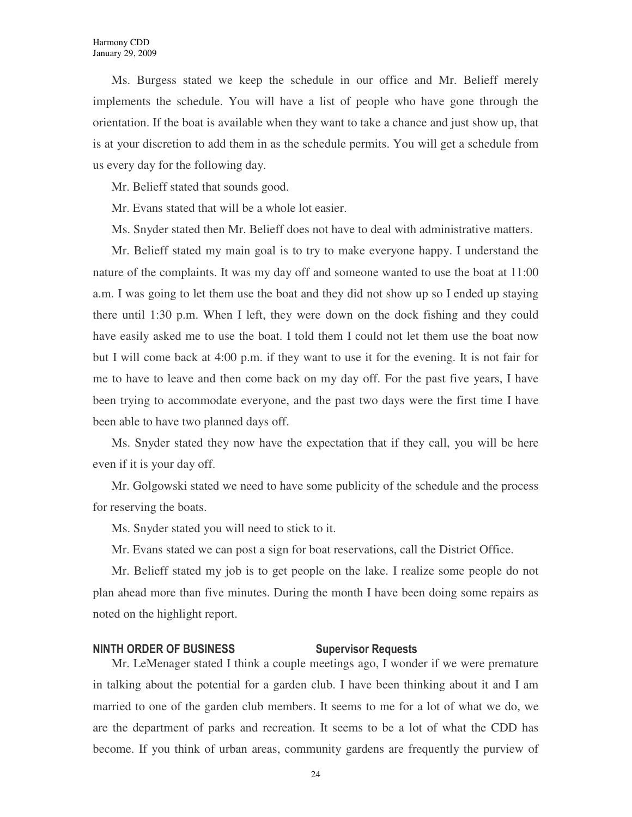Ms. Burgess stated we keep the schedule in our office and Mr. Belieff merely implements the schedule. You will have a list of people who have gone through the orientation. If the boat is available when they want to take a chance and just show up, that is at your discretion to add them in as the schedule permits. You will get a schedule from us every day for the following day.

Mr. Belieff stated that sounds good.

Mr. Evans stated that will be a whole lot easier.

Ms. Snyder stated then Mr. Belieff does not have to deal with administrative matters.

Mr. Belieff stated my main goal is to try to make everyone happy. I understand the nature of the complaints. It was my day off and someone wanted to use the boat at 11:00 a.m. I was going to let them use the boat and they did not show up so I ended up staying there until 1:30 p.m. When I left, they were down on the dock fishing and they could have easily asked me to use the boat. I told them I could not let them use the boat now but I will come back at 4:00 p.m. if they want to use it for the evening. It is not fair for me to have to leave and then come back on my day off. For the past five years, I have been trying to accommodate everyone, and the past two days were the first time I have been able to have two planned days off.

Ms. Snyder stated they now have the expectation that if they call, you will be here even if it is your day off.

Mr. Golgowski stated we need to have some publicity of the schedule and the process for reserving the boats.

Ms. Snyder stated you will need to stick to it.

Mr. Evans stated we can post a sign for boat reservations, call the District Office.

Mr. Belieff stated my job is to get people on the lake. I realize some people do not plan ahead more than five minutes. During the month I have been doing some repairs as noted on the highlight report.

# NINTH ORDER OF BUSINESS Supervisor Requests

Mr. LeMenager stated I think a couple meetings ago, I wonder if we were premature in talking about the potential for a garden club. I have been thinking about it and I am married to one of the garden club members. It seems to me for a lot of what we do, we are the department of parks and recreation. It seems to be a lot of what the CDD has become. If you think of urban areas, community gardens are frequently the purview of